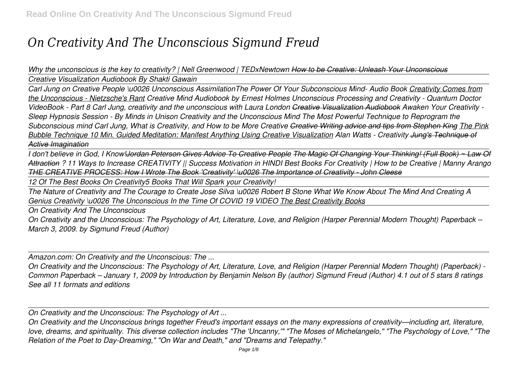## *On Creativity And The Unconscious Sigmund Freud*

*Why the unconscious is the key to creativity? | Nell Greenwood | TEDxNewtown How to be Creative: Unleash Your Unconscious Creative Visualization Audiobook By Shakti Gawain*

*Carl Jung on Creative People \u0026 Unconscious AssimilationThe Power Of Your Subconscious Mind- Audio Book Creativity Comes from the Unconscious - Nietzsche's Rant Creative Mind Audiobook by Ernest Holmes Unconscious Processing and Creativity - Quantum Doctor VideoBook - Part 8 Carl Jung, creativity and the unconscious with Laura London Creative Visualization Audiobook Awaken Your Creativity - Sleep Hypnosis Session - By Minds in Unison Creativity and the Unconscious Mind The Most Powerful Technique to Reprogram the Subconscious mind Carl Jung, What is Creativity, and How to be More Creative Creative Writing advice and tips from Stephen King The Pink Bubble Technique 10 Min. Guided Meditation: Manifest Anything Using Creative Visualization Alan Watts - Creativity Jung's Technique of Active Imagination*

*I don't believe in God, I Know!Jordan Peterson Gives Advice To Creative People The Magic Of Changing Your Thinking! (Full Book) ~ Law Of Attraction ? 11 Ways to Increase CREATIVITY || Success Motivation in HINDI Best Books For Creativity | How to be Creative | Manny Arango THE CREATIVE PROCESS: How I Wrote The Book 'Creativity' \u0026 The Importance of Creativity - John Cleese*

*12 Of The Best Books On Creativity5 Books That Will Spark your Creativity!*

*The Nature of Creativity and The Courage to Create Jose Silva \u0026 Robert B Stone What We Know About The Mind And Creating A Genius Creativity \u0026 The Unconscious In the Time Of COVID 19 VIDEO The Best Creativity Books*

*On Creativity And The Unconscious*

*On Creativity and the Unconscious: The Psychology of Art, Literature, Love, and Religion (Harper Perennial Modern Thought) Paperback – March 3, 2009. by Sigmund Freud (Author)*

*Amazon.com: On Creativity and the Unconscious: The ...*

*On Creativity and the Unconscious: The Psychology of Art, Literature, Love, and Religion (Harper Perennial Modern Thought) (Paperback) - Common Paperback – January 1, 2009 by Introduction by Benjamin Nelson By (author) Sigmund Freud (Author) 4.1 out of 5 stars 8 ratings See all 11 formats and editions*

*On Creativity and the Unconscious: The Psychology of Art ...*

*On Creativity and the Unconscious brings together Freud's important essays on the many expressions of creativity—including art, literature, love, dreams, and spirituality. This diverse collection includes "The 'Uncanny,'" "The Moses of Michelangelo," "The Psychology of Love," "The Relation of the Poet to Day-Dreaming," "On War and Death," and "Dreams and Telepathy."*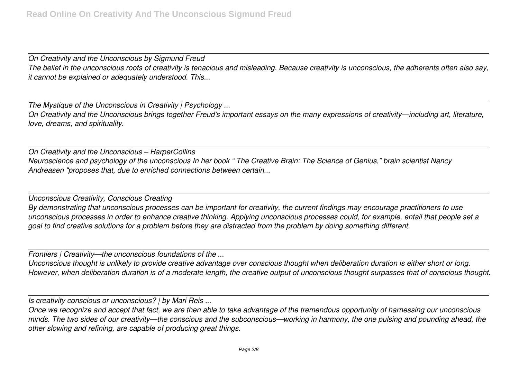*On Creativity and the Unconscious by Sigmund Freud The belief in the unconscious roots of creativity is tenacious and misleading. Because creativity is unconscious, the adherents often also say, it cannot be explained or adequately understood. This...*

*The Mystique of the Unconscious in Creativity | Psychology ...*

*On Creativity and the Unconscious brings together Freud's important essays on the many expressions of creativity—including art, literature, love, dreams, and spirituality.*

*On Creativity and the Unconscious – HarperCollins Neuroscience and psychology of the unconscious In her book " The Creative Brain: The Science of Genius," brain scientist Nancy Andreasen "proposes that, due to enriched connections between certain...*

*Unconscious Creativity, Conscious Creating By demonstrating that unconscious processes can be important for creativity, the current findings may encourage practitioners to use unconscious processes in order to enhance creative thinking. Applying unconscious processes could, for example, entail that people set a goal to find creative solutions for a problem before they are distracted from the problem by doing something different.*

*Frontiers | Creativity—the unconscious foundations of the ...*

*Unconscious thought is unlikely to provide creative advantage over conscious thought when deliberation duration is either short or long. However, when deliberation duration is of a moderate length, the creative output of unconscious thought surpasses that of conscious thought.*

*Is creativity conscious or unconscious? | by Mari Reis ...*

*Once we recognize and accept that fact, we are then able to take advantage of the tremendous opportunity of harnessing our unconscious minds. The two sides of our creativity—the conscious and the subconscious—working in harmony, the one pulsing and pounding ahead, the other slowing and refining, are capable of producing great things.*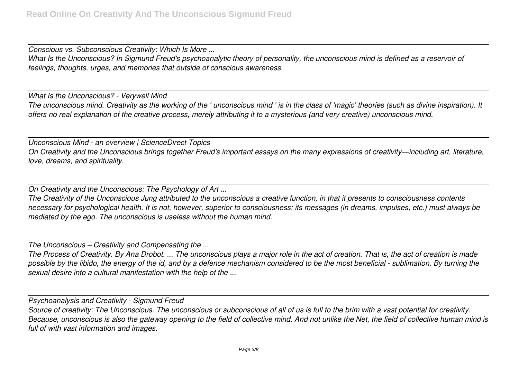*Conscious vs. Subconscious Creativity: Which Is More ... What Is the Unconscious? In Sigmund Freud's psychoanalytic theory of personality, the unconscious mind is defined as a reservoir of feelings, thoughts, urges, and memories that outside of conscious awareness.*

*What Is the Unconscious? - Verywell Mind The unconscious mind. Creativity as the working of the ' unconscious mind ' is in the class of 'magic' theories (such as divine inspiration). It offers no real explanation of the creative process, merely attributing it to a mysterious (and very creative) unconscious mind.*

*Unconscious Mind - an overview | ScienceDirect Topics On Creativity and the Unconscious brings together Freud's important essays on the many expressions of creativity—including art, literature, love, dreams, and spirituality.*

*On Creativity and the Unconscious: The Psychology of Art ...*

*The Creativity of the Unconscious Jung attributed to the unconscious a creative function, in that it presents to consciousness contents necessary for psychological health. It is not, however, superior to consciousness; its messages (in dreams, impulses, etc.) must always be mediated by the ego. The unconscious is useless without the human mind.*

*The Unconscious – Creativity and Compensating the ...*

*The Process of Creativity. By Ana Drobot. ... The unconscious plays a major role in the act of creation. That is, the act of creation is made possible by the libido, the energy of the id, and by a defence mechanism considered to be the most beneficial - sublimation. By turning the sexual desire into a cultural manifestation with the help of the ...*

*Psychoanalysis and Creativity - Sigmund Freud*

*Source of creativity: The Unconscious. The unconscious or subconscious of all of us is full to the brim with a vast potential for creativity. Because, unconscious is also the gateway opening to the field of collective mind. And not unlike the Net, the field of collective human mind is full of with vast information and images.*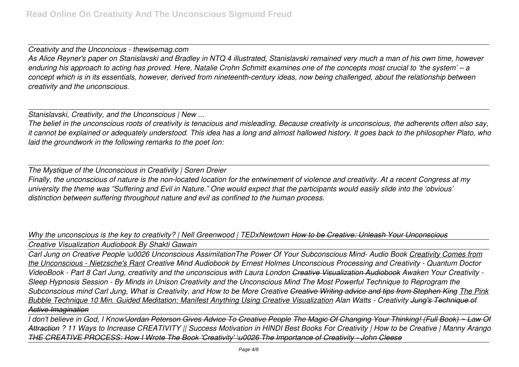*Creativity and the Unconcious - thewisemag.com As Alice Reyner's paper on Stanislavski and Bradley in NTQ 4 illustrated, Stanislavski remained very much a man of his own time, however enduring his approach to acting has proved. Here, Natalie Crohn Schmitt examines one of the concepts most crucial to 'the system' – a concept which is in its essentials, however, derived from nineteenth-century ideas, now being challenged, about the relationship between creativity and the unconscious.*

*Stanislavski, Creativity, and the Unconscious | New ...*

*The belief in the unconscious roots of creativity is tenacious and misleading. Because creativity is unconscious, the adherents often also say, it cannot be explained or adequately understood. This idea has a long and almost hallowed history. It goes back to the philosopher Plato, who laid the groundwork in the following remarks to the poet Ion:*

*The Mystique of the Unconscious in Creativity | Soren Dreier Finally, the unconscious of nature is the non-located location for the entwinement of violence and creativity. At a recent Congress at my university the theme was "Suffering and Evil in Nature." One would expect that the participants would easily slide into the 'obvious' distinction between suffering throughout nature and evil as confined to the human process.*

*Why the unconscious is the key to creativity? | Nell Greenwood | TEDxNewtown How to be Creative: Unleash Your Unconscious Creative Visualization Audiobook By Shakti Gawain*

*Carl Jung on Creative People \u0026 Unconscious AssimilationThe Power Of Your Subconscious Mind- Audio Book Creativity Comes from the Unconscious - Nietzsche's Rant Creative Mind Audiobook by Ernest Holmes Unconscious Processing and Creativity - Quantum Doctor VideoBook - Part 8 Carl Jung, creativity and the unconscious with Laura London Creative Visualization Audiobook Awaken Your Creativity - Sleep Hypnosis Session - By Minds in Unison Creativity and the Unconscious Mind The Most Powerful Technique to Reprogram the Subconscious mind Carl Jung, What is Creativity, and How to be More Creative Creative Writing advice and tips from Stephen King The Pink Bubble Technique 10 Min. Guided Meditation: Manifest Anything Using Creative Visualization Alan Watts - Creativity Jung's Technique of Active Imagination*

*I don't believe in God, I Know!<del>Jordan Peterson Gives Advice To Creative People The Magic Of Changing Your Thinking! (Full Book) ~ Law Of*</del> *Attraction ? 11 Ways to Increase CREATIVITY || Success Motivation in HINDI Best Books For Creativity | How to be Creative | Manny Arango THE CREATIVE PROCESS: How I Wrote The Book 'Creativity' \u0026 The Importance of Creativity - John Cleese*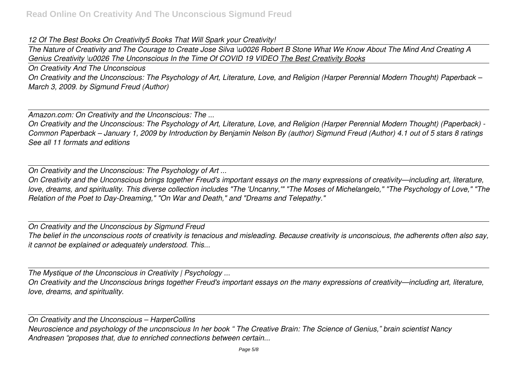## *12 Of The Best Books On Creativity5 Books That Will Spark your Creativity!*

*The Nature of Creativity and The Courage to Create Jose Silva \u0026 Robert B Stone What We Know About The Mind And Creating A Genius Creativity \u0026 The Unconscious In the Time Of COVID 19 VIDEO The Best Creativity Books*

*On Creativity And The Unconscious On Creativity and the Unconscious: The Psychology of Art, Literature, Love, and Religion (Harper Perennial Modern Thought) Paperback – March 3, 2009. by Sigmund Freud (Author)*

*Amazon.com: On Creativity and the Unconscious: The ...*

*On Creativity and the Unconscious: The Psychology of Art, Literature, Love, and Religion (Harper Perennial Modern Thought) (Paperback) - Common Paperback – January 1, 2009 by Introduction by Benjamin Nelson By (author) Sigmund Freud (Author) 4.1 out of 5 stars 8 ratings See all 11 formats and editions*

*On Creativity and the Unconscious: The Psychology of Art ...*

*On Creativity and the Unconscious brings together Freud's important essays on the many expressions of creativity—including art, literature, love, dreams, and spirituality. This diverse collection includes "The 'Uncanny,'" "The Moses of Michelangelo," "The Psychology of Love," "The Relation of the Poet to Day-Dreaming," "On War and Death," and "Dreams and Telepathy."*

*On Creativity and the Unconscious by Sigmund Freud The belief in the unconscious roots of creativity is tenacious and misleading. Because creativity is unconscious, the adherents often also say, it cannot be explained or adequately understood. This...*

*The Mystique of the Unconscious in Creativity | Psychology ...*

*On Creativity and the Unconscious brings together Freud's important essays on the many expressions of creativity—including art, literature, love, dreams, and spirituality.*

*On Creativity and the Unconscious – HarperCollins Neuroscience and psychology of the unconscious In her book " The Creative Brain: The Science of Genius," brain scientist Nancy Andreasen "proposes that, due to enriched connections between certain...*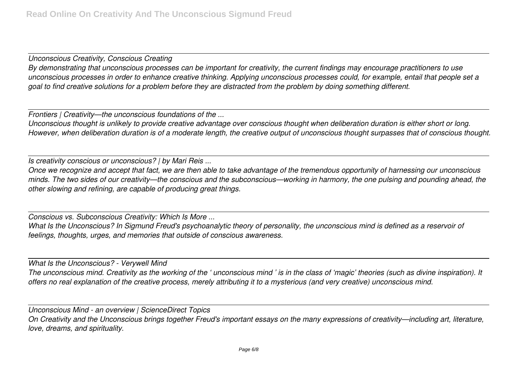*Unconscious Creativity, Conscious Creating*

*By demonstrating that unconscious processes can be important for creativity, the current findings may encourage practitioners to use unconscious processes in order to enhance creative thinking. Applying unconscious processes could, for example, entail that people set a goal to find creative solutions for a problem before they are distracted from the problem by doing something different.*

*Frontiers | Creativity—the unconscious foundations of the ...*

*Unconscious thought is unlikely to provide creative advantage over conscious thought when deliberation duration is either short or long. However, when deliberation duration is of a moderate length, the creative output of unconscious thought surpasses that of conscious thought.*

*Is creativity conscious or unconscious? | by Mari Reis ...*

*Once we recognize and accept that fact, we are then able to take advantage of the tremendous opportunity of harnessing our unconscious minds. The two sides of our creativity—the conscious and the subconscious—working in harmony, the one pulsing and pounding ahead, the other slowing and refining, are capable of producing great things.*

*Conscious vs. Subconscious Creativity: Which Is More ...*

*What Is the Unconscious? In Sigmund Freud's psychoanalytic theory of personality, the unconscious mind is defined as a reservoir of feelings, thoughts, urges, and memories that outside of conscious awareness.*

*What Is the Unconscious? - Verywell Mind*

*The unconscious mind. Creativity as the working of the ' unconscious mind ' is in the class of 'magic' theories (such as divine inspiration). It offers no real explanation of the creative process, merely attributing it to a mysterious (and very creative) unconscious mind.*

*Unconscious Mind - an overview | ScienceDirect Topics On Creativity and the Unconscious brings together Freud's important essays on the many expressions of creativity—including art, literature, love, dreams, and spirituality.*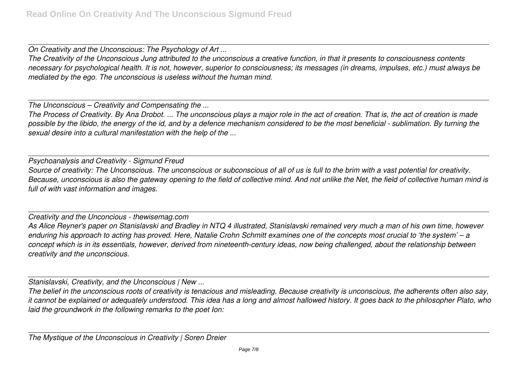*On Creativity and the Unconscious: The Psychology of Art ...*

*The Creativity of the Unconscious Jung attributed to the unconscious a creative function, in that it presents to consciousness contents necessary for psychological health. It is not, however, superior to consciousness; its messages (in dreams, impulses, etc.) must always be mediated by the ego. The unconscious is useless without the human mind.*

*The Unconscious – Creativity and Compensating the ...*

*The Process of Creativity. By Ana Drobot. ... The unconscious plays a major role in the act of creation. That is, the act of creation is made possible by the libido, the energy of the id, and by a defence mechanism considered to be the most beneficial - sublimation. By turning the sexual desire into a cultural manifestation with the help of the ...*

*Psychoanalysis and Creativity - Sigmund Freud Source of creativity: The Unconscious. The unconscious or subconscious of all of us is full to the brim with a vast potential for creativity. Because, unconscious is also the gateway opening to the field of collective mind. And not unlike the Net, the field of collective human mind is full of with vast information and images.*

*Creativity and the Unconcious - thewisemag.com As Alice Reyner's paper on Stanislavski and Bradley in NTQ 4 illustrated, Stanislavski remained very much a man of his own time, however enduring his approach to acting has proved. Here, Natalie Crohn Schmitt examines one of the concepts most crucial to 'the system' – a concept which is in its essentials, however, derived from nineteenth-century ideas, now being challenged, about the relationship between creativity and the unconscious.*

*Stanislavski, Creativity, and the Unconscious | New ...*

*The belief in the unconscious roots of creativity is tenacious and misleading. Because creativity is unconscious, the adherents often also say, it cannot be explained or adequately understood. This idea has a long and almost hallowed history. It goes back to the philosopher Plato, who laid the groundwork in the following remarks to the poet Ion:*